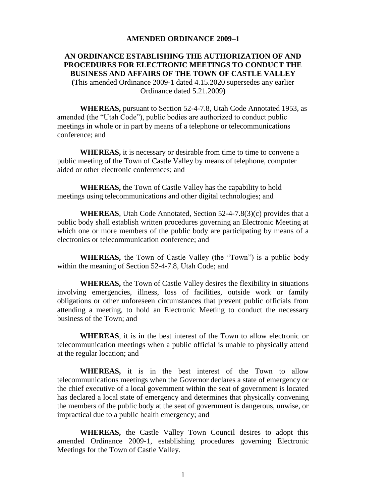#### **AMENDED ORDINANCE 2009–1**

#### **AN ORDINANCE ESTABLISHING THE AUTHORIZATION OF AND PROCEDURES FOR ELECTRONIC MEETINGS TO CONDUCT THE BUSINESS AND AFFAIRS OF THE TOWN OF CASTLE VALLEY (**This amended Ordinance 2009-1 dated 4.15.2020 supersedes any earlier Ordinance dated 5.21.2009**)**

**WHEREAS,** pursuant to Section 52-4-7.8, Utah Code Annotated 1953, as amended (the "Utah Code"), public bodies are authorized to conduct public meetings in whole or in part by means of a telephone or telecommunications conference; and

**WHEREAS,** it is necessary or desirable from time to time to convene a public meeting of the Town of Castle Valley by means of telephone, computer aided or other electronic conferences; and

**WHEREAS,** the Town of Castle Valley has the capability to hold meetings using telecommunications and other digital technologies; and

**WHEREAS**, Utah Code Annotated, Section 52-4-7.8(3)(c) provides that a public body shall establish written procedures governing an Electronic Meeting at which one or more members of the public body are participating by means of a electronics or telecommunication conference; and

**WHEREAS,** the Town of Castle Valley (the "Town") is a public body within the meaning of Section 52-4-7.8, Utah Code; and

**WHEREAS,** the Town of Castle Valley desires the flexibility in situations involving emergencies, illness, loss of facilities, outside work or family obligations or other unforeseen circumstances that prevent public officials from attending a meeting, to hold an Electronic Meeting to conduct the necessary business of the Town; and

**WHEREAS**, it is in the best interest of the Town to allow electronic or telecommunication meetings when a public official is unable to physically attend at the regular location; and

**WHEREAS,** it is in the best interest of the Town to allow telecommunications meetings when the Governor declares a state of emergency or the chief executive of a local government within the seat of government is located has declared a local state of emergency and determines that physically convening the members of the public body at the seat of government is dangerous, unwise, or impractical due to a public health emergency; and

**WHEREAS,** the Castle Valley Town Council desires to adopt this amended Ordinance 2009-1, establishing procedures governing Electronic Meetings for the Town of Castle Valley.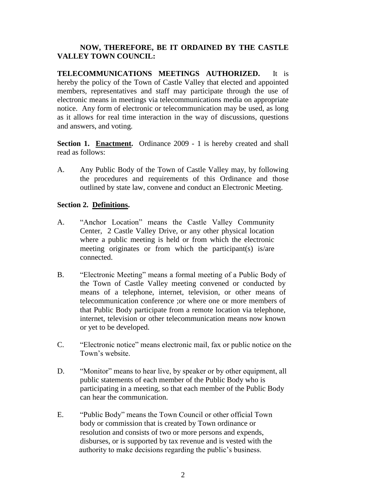# **NOW, THEREFORE, BE IT ORDAINED BY THE CASTLE VALLEY TOWN COUNCIL:**

**TELECOMMUNICATIONS MEETINGS AUTHORIZED.** It is hereby the policy of the Town of Castle Valley that elected and appointed members, representatives and staff may participate through the use of electronic means in meetings via telecommunications media on appropriate notice. Any form of electronic or telecommunication may be used, as long as it allows for real time interaction in the way of discussions, questions and answers, and voting.

**Section 1. Enactment.** Ordinance 2009 - 1 is hereby created and shall read as follows:

A. Any Public Body of the Town of Castle Valley may, by following the procedures and requirements of this Ordinance and those outlined by state law, convene and conduct an Electronic Meeting.

## **Section 2. Definitions.**

- A. "Anchor Location" means the Castle Valley Community Center, 2 Castle Valley Drive, or any other physical location where a public meeting is held or from which the electronic meeting originates or from which the participant(s) is/are connected.
- B. "Electronic Meeting" means a formal meeting of a Public Body of the Town of Castle Valley meeting convened or conducted by means of a telephone, internet, television, or other means of telecommunication conference ;or where one or more members of that Public Body participate from a remote location via telephone, internet, television or other telecommunication means now known or yet to be developed.
- C. "Electronic notice" means electronic mail, fax or public notice on the Town's website.
- D. "Monitor" means to hear live, by speaker or by other equipment, all public statements of each member of the Public Body who is participating in a meeting, so that each member of the Public Body can hear the communication.
- E. "Public Body" means the Town Council or other official Town body or commission that is created by Town ordinance or resolution and consists of two or more persons and expends, disburses, or is supported by tax revenue and is vested with the authority to make decisions regarding the public's business.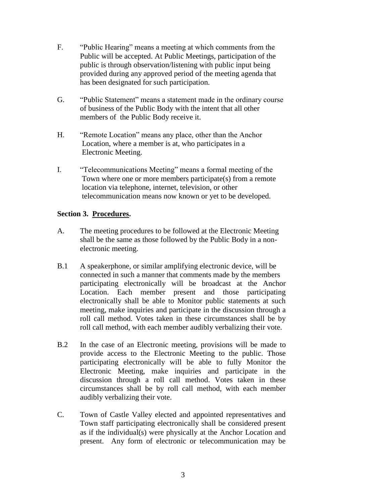- F. "Public Hearing" means a meeting at which comments from the Public will be accepted. At Public Meetings, participation of the public is through observation/listening with public input being provided during any approved period of the meeting agenda that has been designated for such participation.
- G. "Public Statement" means a statement made in the ordinary course of business of the Public Body with the intent that all other members of the Public Body receive it.
- H. "Remote Location" means any place, other than the Anchor Location, where a member is at, who participates in a Electronic Meeting.
- I. "Telecommunications Meeting" means a formal meeting of the Town where one or more members participate(s) from a remote location via telephone, internet, television, or other telecommunication means now known or yet to be developed.

# **Section 3. Procedures.**

- A. The meeting procedures to be followed at the Electronic Meeting shall be the same as those followed by the Public Body in a nonelectronic meeting.
- B.1 A speakerphone, or similar amplifying electronic device, will be connected in such a manner that comments made by the members participating electronically will be broadcast at the Anchor Location. Each member present and those participating electronically shall be able to Monitor public statements at such meeting, make inquiries and participate in the discussion through a roll call method. Votes taken in these circumstances shall be by roll call method, with each member audibly verbalizing their vote.
- B.2 In the case of an Electronic meeting, provisions will be made to provide access to the Electronic Meeting to the public. Those participating electronically will be able to fully Monitor the Electronic Meeting, make inquiries and participate in the discussion through a roll call method. Votes taken in these circumstances shall be by roll call method, with each member audibly verbalizing their vote.
- C. Town of Castle Valley elected and appointed representatives and Town staff participating electronically shall be considered present as if the individual(s) were physically at the Anchor Location and present. Any form of electronic or telecommunication may be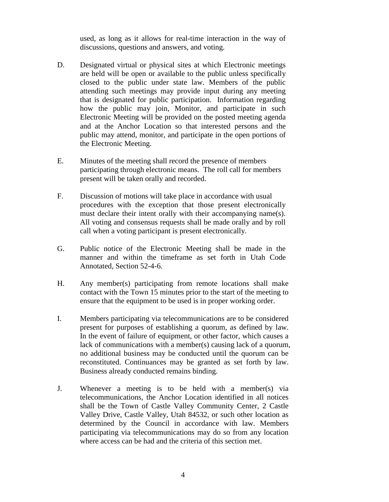used, as long as it allows for real-time interaction in the way of discussions, questions and answers, and voting.

- D. Designated virtual or physical sites at which Electronic meetings are held will be open or available to the public unless specifically closed to the public under state law. Members of the public attending such meetings may provide input during any meeting that is designated for public participation. Information regarding how the public may join, Monitor, and participate in such Electronic Meeting will be provided on the posted meeting agenda and at the Anchor Location so that interested persons and the public may attend, monitor, and participate in the open portions of the Electronic Meeting.
- E. Minutes of the meeting shall record the presence of members participating through electronic means. The roll call for members present will be taken orally and recorded.
- F. Discussion of motions will take place in accordance with usual procedures with the exception that those present electronically must declare their intent orally with their accompanying name(s). All voting and consensus requests shall be made orally and by roll call when a voting participant is present electronically.
- G. Public notice of the Electronic Meeting shall be made in the manner and within the timeframe as set forth in Utah Code Annotated, Section 52-4-6.
- H. Any member(s) participating from remote locations shall make contact with the Town 15 minutes prior to the start of the meeting to ensure that the equipment to be used is in proper working order.
- I. Members participating via telecommunications are to be considered present for purposes of establishing a quorum, as defined by law. In the event of failure of equipment, or other factor, which causes a lack of communications with a member(s) causing lack of a quorum, no additional business may be conducted until the quorum can be reconstituted. Continuances may be granted as set forth by law. Business already conducted remains binding.
- J. Whenever a meeting is to be held with a member(s) via telecommunications, the Anchor Location identified in all notices shall be the Town of Castle Valley Community Center, 2 Castle Valley Drive, Castle Valley, Utah 84532, or such other location as determined by the Council in accordance with law. Members participating via telecommunications may do so from any location where access can be had and the criteria of this section met.